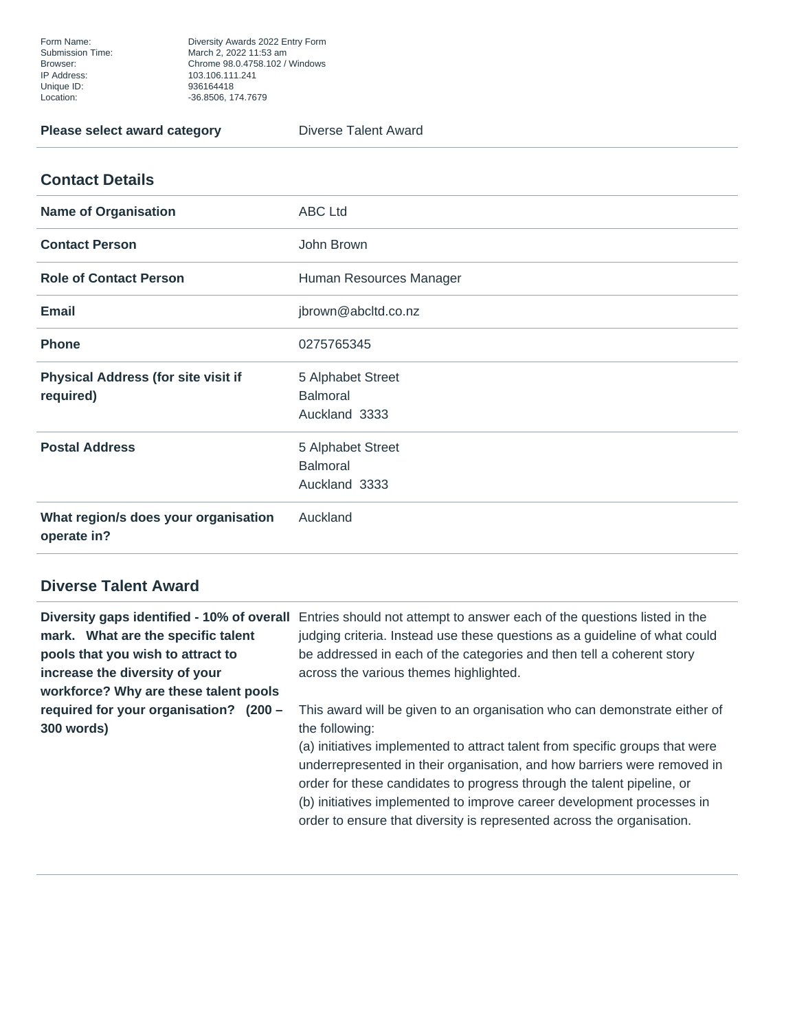Form Name: Diversity Awards 2022 Entry Form Submission Time: March 2, 2022 11:53 am Browser: Chrome 98.0.4758.102 / Windows Unique ID: 936164418 Location: -36.8506, 174.7679

**Please select award category Diverse Talent Award** 

## **Contact Details**

| <b>Name of Organisation</b>                             | <b>ABC Ltd</b>                                        |
|---------------------------------------------------------|-------------------------------------------------------|
| <b>Contact Person</b>                                   | John Brown                                            |
| <b>Role of Contact Person</b>                           | Human Resources Manager                               |
| <b>Email</b>                                            | jbrown@abcltd.co.nz                                   |
| <b>Phone</b>                                            | 0275765345                                            |
| <b>Physical Address (for site visit if</b><br>required) | 5 Alphabet Street<br><b>Balmoral</b><br>Auckland 3333 |
| <b>Postal Address</b>                                   | 5 Alphabet Street<br><b>Balmoral</b><br>Auckland 3333 |
| What region/s does your organisation<br>operate in?     | Auckland                                              |

## **Diverse Talent Award**

| mark. What are the specific talent          | Diversity gaps identified - 10% of overall Entries should not attempt to answer each of the questions listed in the<br>judging criteria. Instead use these questions as a guideline of what could |
|---------------------------------------------|---------------------------------------------------------------------------------------------------------------------------------------------------------------------------------------------------|
| pools that you wish to attract to           | be addressed in each of the categories and then tell a coherent story                                                                                                                             |
| increase the diversity of your              | across the various themes highlighted.                                                                                                                                                            |
| workforce? Why are these talent pools       |                                                                                                                                                                                                   |
| required for your organisation?<br>$(200 -$ | This award will be given to an organisation who can demonstrate either of                                                                                                                         |
| 300 words)                                  | the following:                                                                                                                                                                                    |
|                                             | (a) initiatives implemented to attract talent from specific groups that were                                                                                                                      |
|                                             | underrepresented in their organisation, and how barriers were removed in                                                                                                                          |
|                                             | order for these candidates to progress through the talent pipeline, or                                                                                                                            |
|                                             | (b) initiatives implemented to improve career development processes in                                                                                                                            |
|                                             | order to ensure that diversity is represented across the organisation.                                                                                                                            |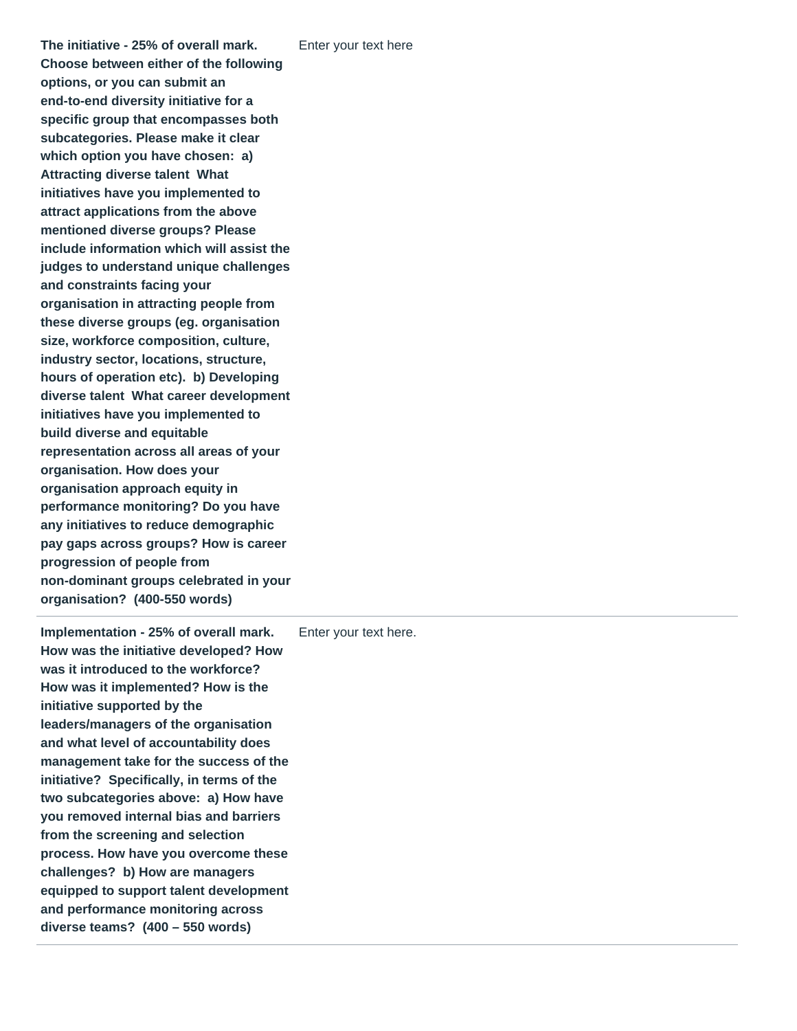**The initiative - 25% of overall mark. Choose between either of the following options, or you can submit an end-to-end diversity initiative for a specific group that encompasses both subcategories. Please make it clear which option you have chosen: a) Attracting diverse talent What initiatives have you implemented to attract applications from the above mentioned diverse groups? Please include information which will assist the judges to understand unique challenges and constraints facing your organisation in attracting people from these diverse groups (eg. organisation size, workforce composition, culture, industry sector, locations, structure, hours of operation etc). b) Developing diverse talent What career development initiatives have you implemented to build diverse and equitable representation across all areas of your organisation. How does your organisation approach equity in performance monitoring? Do you have any initiatives to reduce demographic pay gaps across groups? How is career progression of people from non-dominant groups celebrated in your organisation? (400-550 words)**

**Implementation - 25% of overall mark. How was the initiative developed? How was it introduced to the workforce? How was it implemented? How is the initiative supported by the leaders/managers of the organisation and what level of accountability does management take for the success of the initiative? Specifically, in terms of the two subcategories above: a) How have you removed internal bias and barriers from the screening and selection process. How have you overcome these challenges? b) How are managers equipped to support talent development and performance monitoring across diverse teams? (400 – 550 words)** Enter your text here.